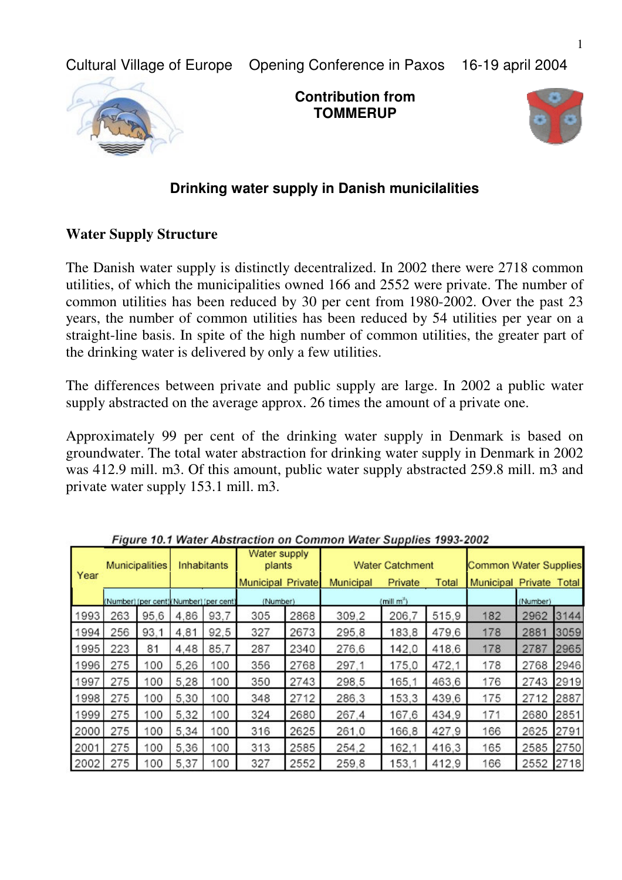Cultural Village of Europe Opening Conference in Paxos 16-19 april 2004



**Contribution from TOMMERUP**



# **Drinking water supply in Danish municilalities**

#### **Water Supply Structure**

The Danish water supply is distinctly decentralized. In 2002 there were 2718 common utilities, of which the municipalities owned 166 and 2552 were private. The number of common utilities has been reduced by 30 per cent from 1980-2002. Over the past 23 years, the number of common utilities has been reduced by 54 utilities per year on a straight-line basis. In spite of the high number of common utilities, the greater part of the drinking water is delivered by only a few utilities.

The differences between private and public supply are large. In 2002 a public water supply abstracted on the average approx. 26 times the amount of a private one.

Approximately 99 per cent of the drinking water supply in Denmark is based on groundwater. The total water abstraction for drinking water supply in Denmark in 2002 was 412.9 mill. m3. Of this amount, public water supply abstracted 259.8 mill. m3 and private water supply 153.1 mill. m3.

| Year | nguro rommuus mootraction on<br>Municipalities |      | Inhabitants |      | Water supply<br>plants<br><b>Municipal Private</b> |      |                     | <b>Water Catchment</b> | <b>Common Water Supplies</b> |                         |      |      |
|------|------------------------------------------------|------|-------------|------|----------------------------------------------------|------|---------------------|------------------------|------------------------------|-------------------------|------|------|
|      |                                                |      |             |      |                                                    |      | Municipal           | Private                | Total                        | Municipal Private Total |      |      |
|      | (Number) (per cent) (Number) (per cent)        |      |             |      | (Number)                                           |      | $(\text{mill m}^3)$ |                        |                              | (Number)                |      |      |
| 1993 | 263                                            | 95.6 | 4.86        | 93.7 | 305                                                | 2868 | 309.2               | 206.7                  | 515,9                        | 182                     | 2962 | 3144 |
| 1994 | 256                                            | 93.1 | 4,81        | 92,5 | 327                                                | 2673 | 295.8               | 183,8                  | 479,6                        | 178                     | 2881 | 3059 |
| 1995 | 223                                            | 81   | 4.48        | 85.7 | 287                                                | 2340 | 276,6               | 142,0                  | 418.6                        | 178                     | 2787 | 2965 |
| 1996 | 275                                            | 100  | 5.26        | 100  | 356                                                | 2768 | 297.1               | 175,0                  | 472.1                        | 178                     | 2768 | 2946 |
| 1997 | 275                                            | 100  | 5,28        | 100  | 350                                                | 2743 | 298.5               | 165.1                  | 463,6                        | 176                     | 2743 | 2919 |
| 1998 | 275                                            | 100  | 5,30        | 100  | 348                                                | 2712 | 286.3               | 153,3                  | 439,6                        | 175                     | 2712 | 2887 |
| 1999 | 275                                            | 100  | 5.32        | 100  | 324                                                | 2680 | 267.4               | 167.6                  | 434,9                        | 171                     | 2680 | 2851 |
| 2000 | 275                                            | 100  | 5,34        | 100  | 316                                                | 2625 | 261,0               | 166,8                  | 427.9                        | 166                     | 2625 | 2791 |
| 2001 | 275                                            | 100  | 5,36        | 100  | 313                                                | 2585 | 254.2               | 162.1                  | 416,3                        | 165                     | 2585 | 2750 |
| 2002 | 275                                            | 100  | 5.37        | 100  | 327                                                | 2552 | 259.8               | 153.1                  | 412,9                        | 166                     | 2552 | 2718 |

Figure 10.1 Water Abstraction on Common Water Supplies 1993-2002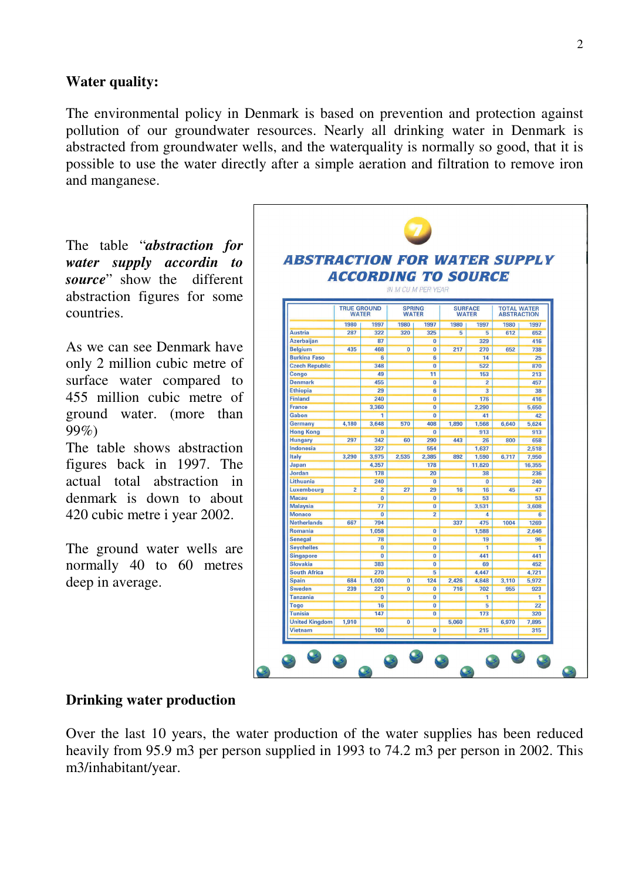### **Water quality:**

The environmental policy in Denmark is based on prevention and protection against pollution of our groundwater resources. Nearly all drinking water in Denmark is abstracted from groundwater wells, and the waterquality is normally so good, that it is possible to use the water directly after a simple aeration and filtration to remove iron and manganese.

The table "*abstraction for water supply accordin to source*" show the different abstraction figures for some countries.

As we can see Denmark have only 2 million cubic metre of surface water compared to 455 million cubic metre of ground water. (more than 99%)

The table shows abstraction figures back in 1997. The actual total abstraction in denmark is down to about 420 cubic metre i year 2002.

The ground water wells are normally 40 to 60 metres deep in average.

| <b>ABSTRACTION FOR WATER SUPPLY</b> |                            |                         |                           |                                  |              |                |                    |                |
|-------------------------------------|----------------------------|-------------------------|---------------------------|----------------------------------|--------------|----------------|--------------------|----------------|
|                                     | <b>ACCORDING TO SOURCE</b> |                         |                           |                                  |              |                |                    |                |
|                                     |                            |                         |                           |                                  |              |                |                    |                |
|                                     |                            |                         | <b>IN M CU M PER YEAR</b> |                                  |              |                |                    |                |
|                                     | <b>TRUE GROUND</b>         |                         | <b>SPRING</b>             |                                  |              | <b>SURFACE</b> | <b>TOTAL WATER</b> |                |
|                                     | <b>WATER</b>               |                         | <b>WATER</b>              |                                  | <b>WATER</b> |                | <b>ABSTRACTION</b> |                |
|                                     | 1980                       | 1997                    | 1980                      | 1997                             | 1980         | 1997           | 1980               | 1997           |
| <b>Austria</b>                      | 287                        | 322                     | 320                       | 325                              | 5            | 5              | 612                | 652            |
| <b>Azerbaijan</b>                   |                            | 87                      |                           | $\overline{0}$                   |              | 329            |                    | 416            |
| <b>Belgium</b>                      | 435                        | 468                     | $\overline{0}$            | $\overline{0}$                   | 217          | 270            | 652                | 738            |
| <b>Burkina Faso</b>                 |                            | $6\overline{6}$         |                           | $6\overline{6}$                  |              | 14             |                    | 25             |
| <b>Czech Republic</b>               |                            | 348                     |                           | $\overline{0}$                   |              | 522            |                    | 870            |
| Congo                               |                            | 49                      |                           | 11                               |              | 153            |                    | 213            |
| <b>Denmark</b>                      |                            | 455                     |                           | $\overline{0}$                   |              | $\overline{2}$ |                    | 457            |
| <b>Ethiopia</b>                     |                            | 29                      |                           | $6\overline{6}$                  |              | $\overline{3}$ |                    | 38             |
| <b>Finland</b>                      |                            | 240                     |                           | $\bf{0}$                         |              | 176            |                    | 416            |
| <b>France</b>                       |                            | 3,360                   |                           | $\bf{0}$                         |              | 2,290          |                    | 5,650          |
| Gabon                               |                            | 1                       |                           | $\overline{0}$                   |              | 41             |                    | 42             |
| Germany                             | 4,180                      | 3,648                   | 570                       | 408                              | 1,890        | 1,568          | 6,640              | 5,624          |
| <b>Hong Kong</b>                    |                            | $\overline{0}$          |                           | $\bf{0}$                         |              | 913            |                    | 913            |
| <b>Hungary</b>                      | 297                        | 342                     | 60                        | 290                              | 443          | 26             | 800                | 658            |
| Indonesia                           |                            | 327                     |                           | 554                              |              | 1.637          |                    | 2,518          |
| Italy                               | 3,290                      | 3,975                   | 2,535                     | 2,385                            | 892          | 1,590          | 6,717              | 7,950          |
| Japan                               |                            | 4,357                   |                           | 178                              |              | 11,820         |                    | 16,355         |
| Jordan                              |                            | 178                     |                           | 20                               |              | 38             |                    | 236            |
| Lithuania                           |                            | 240                     |                           | $\overline{0}$                   |              | $\overline{0}$ |                    | 240            |
| Luxembourg                          | $\overline{2}$             | $\overline{2}$          | $\overline{27}$           | 29                               | 16           | 16             | 45                 | 47             |
| <b>Macau</b><br><b>Malaysia</b>     |                            | $\overline{0}$<br>77    |                           | $\overline{0}$<br>$\overline{0}$ |              | 53             |                    | 53             |
| <b>Monaco</b>                       |                            | $\overline{\mathbf{0}}$ |                           | $\overline{2}$                   |              | 3,531          |                    | 3,608          |
| <b>Netherlands</b>                  | 667                        | 794                     |                           |                                  | 337          | 4<br>475       | 1004               | 6<br>1269      |
| Romania                             |                            | 1.058                   |                           | $\overline{0}$                   |              | 1.588          |                    | 2,646          |
| <b>Senegal</b>                      |                            | 78                      |                           | $\overline{\mathbf{0}}$          |              | 19             |                    | 96             |
| <b>Seychelles</b>                   |                            | $\overline{0}$          |                           | $\bf{0}$                         |              | 1              |                    | 1              |
| <b>Singapore</b>                    |                            | $\bf{0}$                |                           | $\bf{0}$                         |              | 441            |                    | 441            |
| <b>Slovakia</b>                     |                            | 383                     |                           | $\overline{0}$                   |              | 69             |                    | 452            |
| <b>South Africa</b>                 |                            | 270                     |                           | $\overline{5}$                   |              | 4,447          |                    | 4,721          |
| <b>Spain</b>                        | 684                        | 1,000                   | $\overline{\mathbf{0}}$   | 124                              | 2,426        | 4,848          | 3,110              | 5,972          |
| Sweden                              | 239                        | 221                     | $\overline{0}$            | $\overline{\mathbf{0}}$          | 716          | 702            | 955                | 923            |
| <b>Tanzania</b>                     |                            | $\bf{0}$                |                           | $\overline{0}$                   |              | 1              |                    | $\overline{1}$ |
| Togo                                |                            | 16                      |                           | $\overline{0}$                   |              | 5              |                    | 22             |
| <b>Tunisia</b>                      |                            | 147                     |                           | $\overline{0}$                   |              | 173            |                    | 320            |
| <b>United Kingdom</b>               | 1.910                      |                         | $\overline{0}$            |                                  | 5.060        |                | 6.970              | 7.895          |
| <b>Vietnam</b>                      |                            | 100                     |                           | $\overline{0}$                   |              | 215            |                    | 315            |
|                                     |                            |                         |                           |                                  |              |                |                    |                |

### **Drinking water production**

Over the last 10 years, the water production of the water supplies has been reduced heavily from 95.9 m3 per person supplied in 1993 to 74.2 m3 per person in 2002. This m3/inhabitant/year.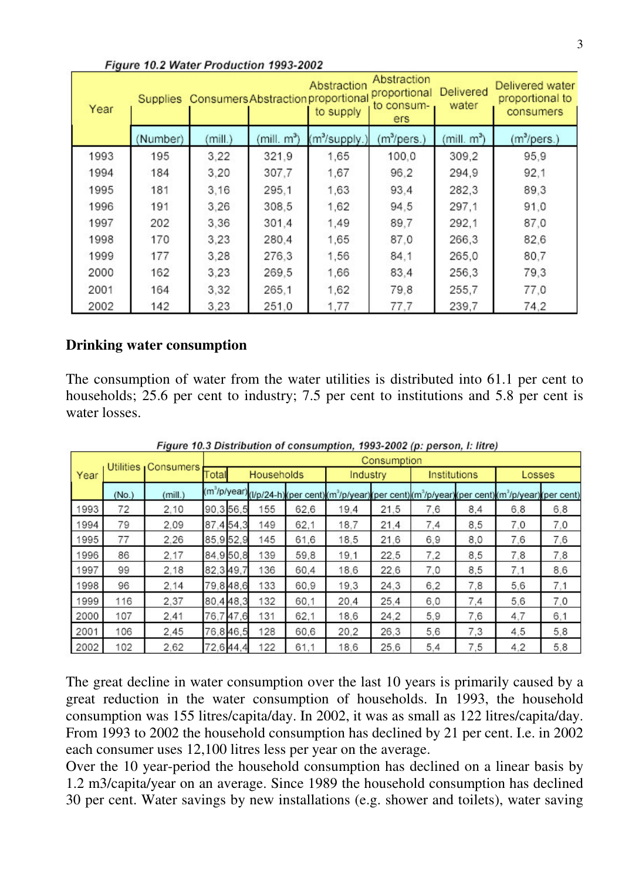| Year |          |         |              | Abstraction<br>Supplies Consumers Abstraction proportional<br>to supply | Abstraction<br>proportional<br>to consum-<br>ers | Delivered<br>water | Delivered water<br>proportional to<br>consumers |  |
|------|----------|---------|--------------|-------------------------------------------------------------------------|--------------------------------------------------|--------------------|-------------------------------------------------|--|
|      | (Number) | (mill.) | $(min, m^3)$ | (m <sup>3</sup> /supply.)                                               | $(m^3/pers.)$                                    | $(min m^3)$        | $(m^3/pers.)$                                   |  |
| 1993 | 195      | 3,22    | 321.9        | 1.65                                                                    | 100,0                                            | 309,2              | 95,9                                            |  |
| 1994 | 184      | 3,20    | 307,7        | 1,67                                                                    | 96.2                                             | 294,9              | 92,1                                            |  |
| 1995 | 181      | 3,16    | 295.1        | 1,63                                                                    | 93.4                                             | 282,3              | 89,3                                            |  |
| 1996 | 191      | 3,26    | 308.5        | 1,62                                                                    | 94,5                                             | 297.1              | 91,0                                            |  |
| 1997 | 202      | 3,36    | 301.4        | 1,49                                                                    | 89,7                                             | 292.1              | 87,0                                            |  |
| 1998 | 170      | 3,23    | 280,4        | 1,65                                                                    | 87,0                                             | 266,3              | 82,6                                            |  |
| 1999 | 177      | 3,28    | 276.3        | 1,56                                                                    | 84,1                                             | 265,0              | 80,7                                            |  |
| 2000 | 162      | 3,23    | 269.5        | 1,66                                                                    | 83.4                                             | 256,3              | 79,3                                            |  |
| 2001 | 164      | 3,32    | 265,1        | 1,62                                                                    | 79.8                                             | 255,7              | 77,0                                            |  |
| 2002 | 142      | 3,23    | 251,0        | 1,77                                                                    | 77.7                                             | 239,7              | 74,2                                            |  |

#### **Drinking water consumption**

The consumption of water from the water utilities is distributed into 61.1 per cent to households; 25.6 per cent to industry; 7.5 per cent to institutions and 5.8 per cent is water losses.

|      | Utilities Consumers |         | Consumption         |       |     |      |                                                                                                                                                                       |      |              |     |        |     |
|------|---------------------|---------|---------------------|-------|-----|------|-----------------------------------------------------------------------------------------------------------------------------------------------------------------------|------|--------------|-----|--------|-----|
| Year |                     |         | Households<br>Total |       |     |      | Industry                                                                                                                                                              |      | Institutions |     | Losses |     |
|      | (No.)               | (mill.) |                     |       |     |      | (m <sup>3</sup> /p/year) <sub>(l</sub> / <sub>p/24-h)(per cent)(m<sup>3</sup>/p/year)(per cent)(m<sup>3</sup>/p/year)(per cent)(m<sup>3</sup>/p/year)(per cent)</sub> |      |              |     |        |     |
| 1993 | 72                  | 2.10    | 90,3 56,5           |       | 155 | 62,6 | 19.4                                                                                                                                                                  | 21,5 | 7,6          | 8,4 | 6,8    | 6,8 |
| 994  | 79                  | 2.09    | 87.454.3            |       | 149 | 62,1 | 18.7                                                                                                                                                                  | 21.4 | 7,4          | 8,5 | 7.0    | 7.0 |
| 995  | 77                  | 2.26    | 85,952,9            |       | 145 | 61,6 | 18.5                                                                                                                                                                  | 21,6 | 6,9          | 8,0 | 7,6    | 7,6 |
| 996  | 86                  | 2.17    | 84,9 50,8           |       | 139 | 59.8 | 19.1                                                                                                                                                                  | 22,5 | 7,2          | 8,5 | 7,8    | 7,8 |
| 997  | 99                  | 2.18    | 82,349,7            |       | 136 | 60,4 | 18,6                                                                                                                                                                  | 22.6 | 7,0          | 8,5 | 7.1    | 8,6 |
| 998  | 96                  | 2.14    | 79,848,6            |       | 133 | 60,9 | 19.3                                                                                                                                                                  | 24,3 | 6,2          | 7,8 | 5,6    | 7,1 |
| 999  | 116                 | 2,37    | 80,448,3            |       | 132 | 60,1 | 20.4                                                                                                                                                                  | 25.4 | 6,0          | 7,4 | 5,6    | 7,0 |
| 2000 | 107                 | 2.41    | 76,7                | 747.6 | 131 | 62,1 | 18,6                                                                                                                                                                  | 24.2 | 5,9          | 7,6 | 4,7    | 6,1 |
| 2001 | 106                 | 2.45    | 76,846,5            |       | 128 | 60,6 | 20,2                                                                                                                                                                  | 26,3 | 5,6          | 7,3 | 4,5    | 5,8 |
| 2002 | 102                 | 2.62    | 72,644,4            |       | 122 | 61.1 | 18.6                                                                                                                                                                  | 25.6 | 5,4          | 7,5 | 4,2    | 5,8 |

Figure 10.3 Distribution of consumption, 1993-2002 (p: person, I: litre)

The great decline in water consumption over the last 10 years is primarily caused by a great reduction in the water consumption of households. In 1993, the household consumption was 155 litres/capita/day. In 2002, it was as small as 122 litres/capita/day. From 1993 to 2002 the household consumption has declined by 21 per cent. I.e. in 2002 each consumer uses 12,100 litres less per year on the average.

Over the 10 year-period the household consumption has declined on a linear basis by 1.2 m3/capita/year on an average. Since 1989 the household consumption has declined 30 per cent. Water savings by new installations (e.g. shower and toilets), water saving